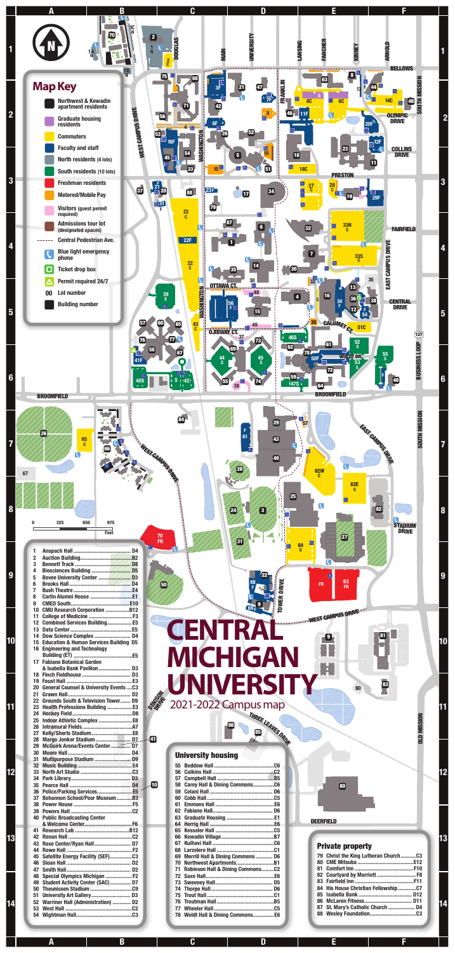OLD MISSION

**OLD MISSION** 

60

# **CENT RAL MIC HIGAN WERSIT** 2021-2022 Campus map THREE LEAVES DRIVE DENISSON DRIVER

#### University housing



| 10 | 58 Carey Hall & Dining CommonsC6     | 80                    |
|----|--------------------------------------|-----------------------|
|    |                                      |                       |
|    |                                      |                       |
|    |                                      |                       |
|    |                                      |                       |
|    |                                      |                       |
|    |                                      | DEERFIELD             |
|    |                                      |                       |
|    |                                      |                       |
|    |                                      | <b>Private</b>        |
|    |                                      |                       |
|    | 69 Merrill Hall & Dining Commons  D6 | 79 Christ th          |
|    |                                      | 80 CME Mit            |
|    | 71 Robinson Hall & Dining CommonsC2  | <b>Comfort</b><br>81  |
|    |                                      | 82 Courtyal           |
|    |                                      | 83 Fairfield          |
|    |                                      | 84 His Hous           |
|    |                                      | 85<br><b>Isabella</b> |
|    |                                      | <b>McLarer</b><br>86  |
|    |                                      | St. Mary<br>87        |
|    | 78 Woldt Hall & Dining Commons E6    | <b>Wesley</b> I<br>88 |
|    |                                      |                       |

**DEERFIELD** 

| 11 |                                                   |
|----|---------------------------------------------------|
| 12 | <b>Combined Services Building E5</b>              |
| 13 |                                                   |
| 14 | Dow Science Complex  D4                           |
| 15 | <b>Education &amp; Human Services Building D5</b> |
| 16 | <b>Engineering and Technology</b>                 |
|    |                                                   |
| 17 | <b>Fabiano Botanical Garden</b>                   |
|    | & Isabella Bank Pavilion D3                       |
| 18 |                                                   |
| 19 |                                                   |
| 20 | <b>General Counsel &amp; University EventsC3</b>  |
| 21 |                                                   |
| 22 | Grounds South & Television Tower D9               |
| 23 | Health Professions Building  E3                   |
| 24 |                                                   |
| 25 |                                                   |
| 26 |                                                   |
| 27 | Kelly/Shorts Stadium E8                           |
| 28 |                                                   |
| 29 |                                                   |
| 30 |                                                   |
| 31 | Multipurpose Stadium  D9                          |
| 32 |                                                   |
| 33 |                                                   |
| 34 |                                                   |
| 35 |                                                   |
| 36 | Police/Parking Services E5                        |
| 37 | <b>Bohannon School/Poor MuseumB3</b>              |
| 38 |                                                   |
| 39 |                                                   |
| 40 | <b>Public Broadcasting Center</b>                 |
|    |                                                   |
| 41 |                                                   |
| 42 |                                                   |
| 43 | Rose Center/Ryan Hall D7                          |
| 44 |                                                   |
| 45 | Satellite Energy Facility (SEF)C3                 |
| 46 |                                                   |
| 47 |                                                   |
| 48 | Special Olympics Michigan  F2                     |
| 49 | Student Activity Center (SAC) D7                  |
| 50 |                                                   |
| 51 |                                                   |
| 52 | Warriner Hall (Administration)  D2                |
| 53 |                                                   |
| 54 |                                                   |
|    |                                                   |

### Private property

| 79 Christ the King Lutheran ChurchC3 |  |
|--------------------------------------|--|
|                                      |  |
|                                      |  |
|                                      |  |
|                                      |  |
| 84 His House Christian FellowshipC7  |  |
|                                      |  |
|                                      |  |
|                                      |  |
|                                      |  |
|                                      |  |

81

83

9

86

A B C D E

F

10

11

12

13

 $\mathbf{a}$ 

14

10

11

12

13

14

85